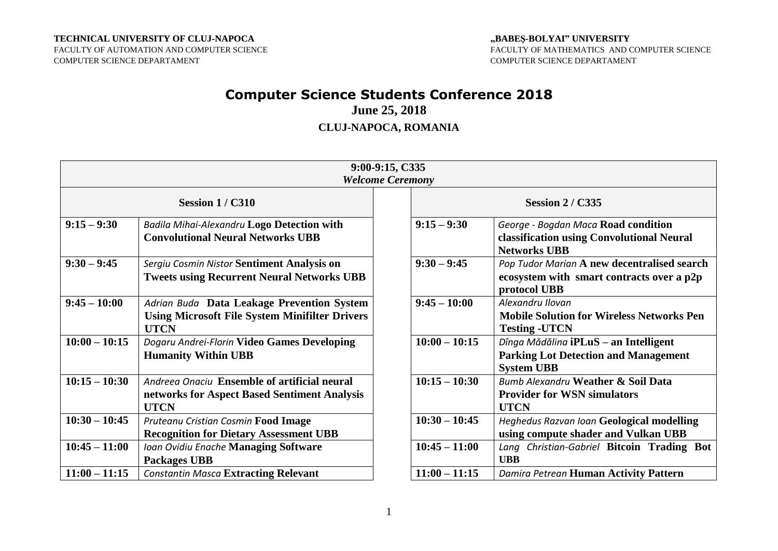#### **TECHNICAL UNIVERSITY OF CLUJ-NAPOCA**

FACULTY OF AUTOMATION AND COMPUTER SCIENCE COMPUTER SCIENCE DEPARTAMENT

### **"BABEŞ-BOLYAI" UNIVERSITY** FACULTY OF MATHEMATICS AND COMPUTER SCIENCE COMPUTER SCIENCE DEPARTAMENT

# **Computer Science Students Conference 2018**

**June 25, 2018**

## **CLUJ-NAPOCA, ROMANIA**

|                       |                                                                                                                    | 9:00-9:15, C335         |                                                                                                           |  |  |
|-----------------------|--------------------------------------------------------------------------------------------------------------------|-------------------------|-----------------------------------------------------------------------------------------------------------|--|--|
|                       |                                                                                                                    | <b>Welcome Ceremony</b> |                                                                                                           |  |  |
| <b>Session 1/C310</b> |                                                                                                                    |                         | <b>Session 2 / C335</b>                                                                                   |  |  |
| $9:15 - 9:30$         | <b>Badila Mihai-Alexandru Logo Detection with</b><br><b>Convolutional Neural Networks UBB</b>                      | $9:15 - 9:30$           | George - Bogdan Maca Road condition<br>classification using Convolutional Neural<br><b>Networks UBB</b>   |  |  |
| $9:30 - 9:45$         | Sergiu Cosmin Nistor Sentiment Analysis on<br><b>Tweets using Recurrent Neural Networks UBB</b>                    | $9:30 - 9:45$           | Pop Tudor Marian A new decentralised search<br>ecosystem with smart contracts over a p2p<br>protocol UBB  |  |  |
| $9:45 - 10:00$        | Adrian Buda Data Leakage Prevention System<br><b>Using Microsoft File System Minifilter Drivers</b><br><b>UTCN</b> | $9:45 - 10:00$          | Alexandru Ilovan<br><b>Mobile Solution for Wireless Networks Pen</b><br><b>Testing -UTCN</b>              |  |  |
| $10:00 - 10:15$       | Dogaru Andrei-Florin Video Games Developing<br><b>Humanity Within UBB</b>                                          | $10:00 - 10:15$         | Dînga Mădălina iPLuS - an Intelligent<br><b>Parking Lot Detection and Management</b><br><b>System UBB</b> |  |  |
| $10:15 - 10:30$       | Andreea Onaciu Ensemble of artificial neural<br>networks for Aspect Based Sentiment Analysis<br><b>UTCN</b>        | $10:15 - 10:30$         | Bumb Alexandru Weather & Soil Data<br><b>Provider for WSN simulators</b><br><b>UTCN</b>                   |  |  |
| $10:30 - 10:45$       | Pruteanu Cristian Cosmin Food Image<br><b>Recognition for Dietary Assessment UBB</b>                               | $10:30 - 10:45$         | <b>Heghedus Razvan Ioan Geological modelling</b><br>using compute shader and Vulkan UBB                   |  |  |
| $10:45 - 11:00$       | Ioan Ovidiu Enache Managing Software<br><b>Packages UBB</b>                                                        | $10:45 - 11:00$         | Lang Christian-Gabriel Bitcoin Trading Bot<br><b>UBB</b>                                                  |  |  |
| $11:00 - 11:15$       | <b>Constantin Masca Extracting Relevant</b>                                                                        | $11:00 - 11:15$         | Damira Petrean Human Activity Pattern                                                                     |  |  |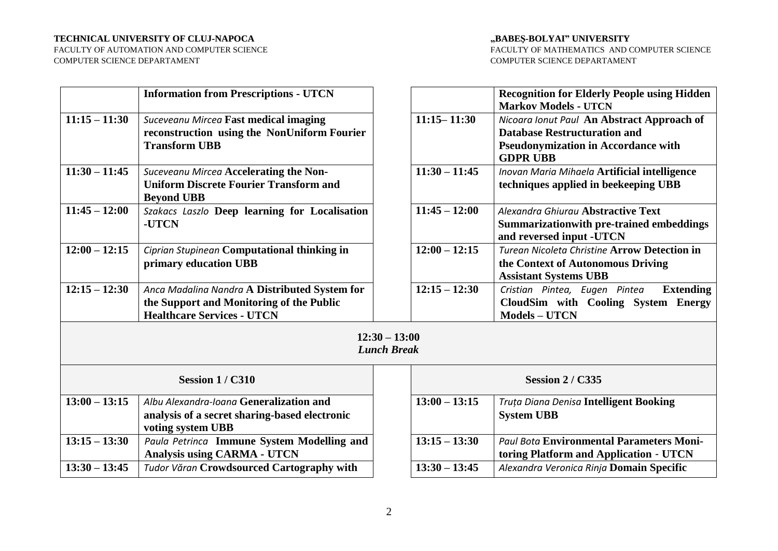#### **TECHNICAL UNIVERSITY OF CLUJ-NAPOCA**

FACULTY OF AUTOMATION AND COMPUTER SCIENCE COMPUTER SCIENCE DEPARTAMENT

#### **"BABEŞ-BOLYAI" UNIVERSITY**

FACULTY OF MATHEMATICS AND COMPUTER SCIENCE COMPUTER SCIENCE DEPARTAMENT

|                 | <b>Information from Prescriptions - UTCN</b>                                                                                   |                                       |                 | <b>Recognition for Elderly People using Hidden</b><br><b>Markov Models - UTCN</b>                                                                  |
|-----------------|--------------------------------------------------------------------------------------------------------------------------------|---------------------------------------|-----------------|----------------------------------------------------------------------------------------------------------------------------------------------------|
| $11:15 - 11:30$ | Suceveanu Mircea Fast medical imaging<br>reconstruction using the NonUniform Fourier<br><b>Transform UBB</b>                   |                                       | $11:15 - 11:30$ | Nicoara Ionut Paul An Abstract Approach of<br><b>Database Restructuration and</b><br><b>Pseudonymization in Accordance with</b><br><b>GDPR UBB</b> |
| $11:30 - 11:45$ | Suceveanu Mircea Accelerating the Non-<br><b>Uniform Discrete Fourier Transform and</b><br><b>Beyond UBB</b>                   |                                       | $11:30 - 11:45$ | Inovan Maria Mihaela Artificial intelligence<br>techniques applied in beekeeping UBB                                                               |
| $11:45 - 12:00$ | Szakacs Laszlo Deep learning for Localisation<br>-UTCN                                                                         |                                       | $11:45 - 12:00$ | Alexandra Ghiurau Abstractive Text<br><b>Summarizationwith pre-trained embeddings</b><br>and reversed input -UTCN                                  |
| $12:00 - 12:15$ | Ciprian Stupinean Computational thinking in<br>primary education UBB                                                           |                                       | $12:00 - 12:15$ | <b>Turean Nicoleta Christine Arrow Detection in</b><br>the Context of Autonomous Driving<br><b>Assistant Systems UBB</b>                           |
| $12:15 - 12:30$ | Anca Madalina Nandra A Distributed System for<br>the Support and Monitoring of the Public<br><b>Healthcare Services - UTCN</b> |                                       | $12:15 - 12:30$ | Cristian Pintea, Eugen Pintea<br><b>Extending</b><br>CloudSim with Cooling System Energy<br><b>Models - UTCN</b>                                   |
|                 |                                                                                                                                | $12:30 - 13:00$<br><b>Lunch Break</b> |                 |                                                                                                                                                    |
|                 | <b>Session 1/C310</b>                                                                                                          |                                       |                 | <b>Session 2/C335</b>                                                                                                                              |
| $13:00 - 13:15$ | Albu Alexandra-Ioana Generalization and<br>analysis of a secret sharing-based electronic<br>voting system UBB                  |                                       | $13:00 - 13:15$ | <b>Truta Diana Denisa Intelligent Booking</b><br><b>System UBB</b>                                                                                 |
| $13:15 - 13:30$ | Paula Petrinca Immune System Modelling and<br><b>Analysis using CARMA - UTCN</b>                                               |                                       | $13:15 - 13:30$ | <b>Paul Bota Environmental Parameters Moni-</b><br>toring Platform and Application - UTCN                                                          |
| $13:30 - 13:45$ | <b>Tudor Văran Crowdsourced Cartography with</b>                                                                               |                                       | $13:30 - 13:45$ | Alexandra Veronica Rinja Domain Specific                                                                                                           |